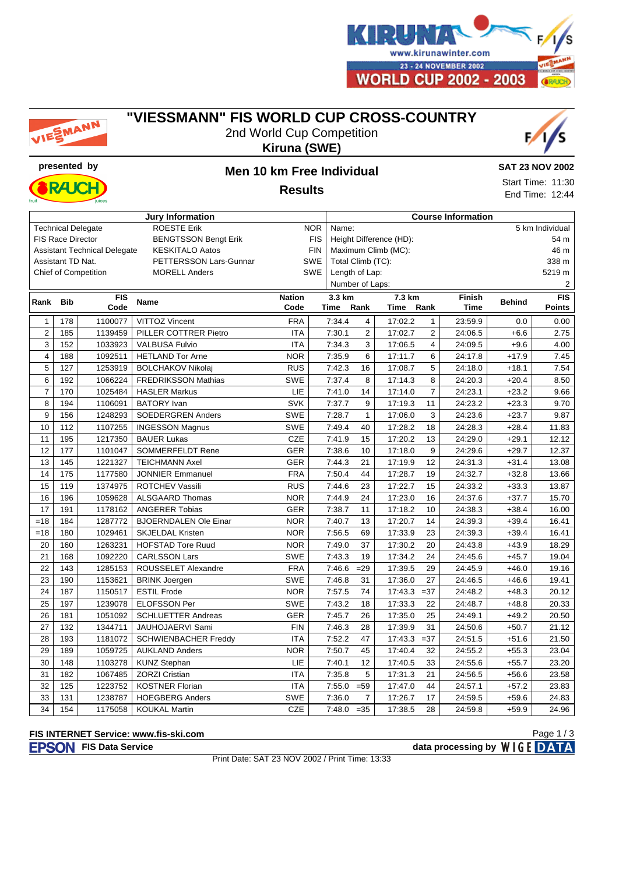

## MANN

### **"VIESSMANN" FIS WORLD CUP CROSS-COUNTRY**







### **presented by Men 10 km Free Individual**

**SAT 23 NOV 2002**

Start Time: 11:30 End Time: 12:44

**Results**

| <b>Jury Information</b>                                       |                          |                             |                              |               |            | <b>Course Information</b> |                         |         |                |             |               |               |  |
|---------------------------------------------------------------|--------------------------|-----------------------------|------------------------------|---------------|------------|---------------------------|-------------------------|---------|----------------|-------------|---------------|---------------|--|
| <b>ROESTE Erik</b><br><b>Technical Delegate</b><br><b>NOR</b> |                          |                             |                              |               |            | 5 km Individual<br>Name:  |                         |         |                |             |               |               |  |
|                                                               | <b>FIS Race Director</b> |                             | <b>BENGTSSON Bengt Erik</b>  |               | <b>FIS</b> |                           | Height Difference (HD): |         |                |             |               | 54 m          |  |
| <b>Assistant Technical Delegate</b><br><b>KESKITALO Aatos</b> |                          |                             |                              |               | <b>FIN</b> | Maximum Climb (MC):       |                         |         |                |             |               | 46 m          |  |
| Assistant TD Nat.<br>PETTERSSON Lars-Gunnar                   |                          |                             |                              |               | SWE        | Total Climb (TC):         |                         |         |                |             |               | 338 m         |  |
|                                                               |                          | <b>Chief of Competition</b> | <b>MORELL Anders</b>         |               | SWE        | Length of Lap:            |                         |         |                |             |               | 5219 m        |  |
|                                                               |                          |                             |                              |               |            | Number of Laps:           |                         |         |                |             |               | 2             |  |
| Rank Bib                                                      |                          | <b>FIS</b>                  | Name                         | <b>Nation</b> |            | 3.3 km                    |                         | 7.3 km  |                | Finish      | <b>Behind</b> | <b>FIS</b>    |  |
|                                                               |                          | Code                        |                              | Code          |            | Time                      | Rank                    | Time    | Rank           | <b>Time</b> |               | <b>Points</b> |  |
| 1                                                             | 178                      | 1100077                     | <b>VITTOZ Vincent</b>        | <b>FRA</b>    |            | 7:34.4                    | $\overline{4}$          | 17:02.2 | $\mathbf{1}$   | 23:59.9     | 0.0           | 0.00          |  |
| $\overline{c}$                                                | 185                      | 1139459                     | PILLER COTTRER Pietro        | <b>ITA</b>    |            | 7:30.1                    | $\overline{2}$          | 17:02.7 | $\overline{2}$ | 24:06.5     | $+6.6$        | 2.75          |  |
| 3                                                             | 152                      | 1033923                     | <b>VALBUSA Fulvio</b>        | <b>ITA</b>    |            | 7:34.3                    | 3                       | 17:06.5 | $\overline{4}$ | 24:09.5     | $+9.6$        | 4.00          |  |
| $\overline{4}$                                                | 188                      | 1092511                     | <b>HETLAND Tor Arne</b>      | <b>NOR</b>    |            | 7:35.9                    | 6                       | 17:11.7 | 6              | 24:17.8     | $+17.9$       | 7.45          |  |
| 5                                                             | 127                      | 1253919                     | <b>BOLCHAKOV Nikolaj</b>     | <b>RUS</b>    |            | 7:42.3                    | 16                      | 17:08.7 | 5              | 24:18.0     | $+18.1$       | 7.54          |  |
| 6                                                             | 192                      | 1066224                     | <b>FREDRIKSSON Mathias</b>   | <b>SWE</b>    |            | 7:37.4                    | 8                       | 17:14.3 | 8              | 24:20.3     | $+20.4$       | 8.50          |  |
| $\overline{7}$                                                | 170                      | 1025484                     | <b>HASLER Markus</b>         | LIE           |            | 7:41.0                    | 14                      | 17:14.0 | $\overline{7}$ | 24:23.1     | $+23.2$       | 9.66          |  |
| 8                                                             | 194                      | 1106091                     | <b>BATORY</b> Ivan           | SVK           |            | 7:37.7                    | 9                       | 17:19.3 | 11             | 24:23.2     | $+23.3$       | 9.70          |  |
| 9                                                             | 156                      | 1248293                     | <b>SOEDERGREN Anders</b>     | <b>SWE</b>    |            | 7:28.7                    | $\mathbf{1}$            | 17:06.0 | 3              | 24:23.6     | $+23.7$       | 9.87          |  |
| 10                                                            | 112                      | 1107255                     | <b>INGESSON Magnus</b>       | <b>SWE</b>    |            | 7:49.4                    | 40                      | 17:28.2 | 18             | 24:28.3     | $+28.4$       | 11.83         |  |
| 11                                                            | 195                      | 1217350                     | <b>BAUER Lukas</b>           | <b>CZE</b>    |            | 7:41.9                    | 15                      | 17:20.2 | 13             | 24:29.0     | $+29.1$       | 12.12         |  |
| 12                                                            | 177                      | 1101047                     | SOMMERFELDT Rene             | <b>GER</b>    |            | 7:38.6                    | 10                      | 17:18.0 | 9              | 24:29.6     | $+29.7$       | 12.37         |  |
| 13                                                            | 145                      | 1221327                     | <b>TEICHMANN Axel</b>        | <b>GER</b>    |            | 7:44.3                    | 21                      | 17:19.9 | 12             | 24:31.3     | $+31.4$       | 13.08         |  |
| 14                                                            | 175                      | 1177580                     | <b>JONNIER Emmanuel</b>      | <b>FRA</b>    |            | 7:50.4                    | 44                      | 17:28.7 | 19             | 24:32.7     | $+32.8$       | 13.66         |  |
| 15                                                            | 119                      | 1374975                     | <b>ROTCHEV Vassili</b>       | <b>RUS</b>    |            | 7:44.6                    | 23                      | 17:22.7 | 15             | 24:33.2     | $+33.3$       | 13.87         |  |
| 16                                                            | 196                      | 1059628                     | <b>ALSGAARD Thomas</b>       | <b>NOR</b>    |            | 7:44.9                    | 24                      | 17:23.0 | 16             | 24:37.6     | $+37.7$       | 15.70         |  |
| 17                                                            | 191                      | 1178162                     | <b>ANGERER Tobias</b>        | <b>GER</b>    |            | 7:38.7                    | 11                      | 17:18.2 | 10             | 24:38.3     | $+38.4$       | 16.00         |  |
| $=18$                                                         | 184                      | 1287772                     | <b>BJOERNDALEN Ole Einar</b> | <b>NOR</b>    |            | 7:40.7                    | 13                      | 17:20.7 | 14             | 24:39.3     | $+39.4$       | 16.41         |  |
| $=18$                                                         | 180                      | 1029461                     | <b>SKJELDAL Kristen</b>      | <b>NOR</b>    |            | 7:56.5                    | 69                      | 17:33.9 | 23             | 24:39.3     | $+39.4$       | 16.41         |  |
| 20                                                            | 160                      | 1263231                     | <b>HOFSTAD Tore Ruud</b>     | <b>NOR</b>    |            | 7:49.0                    | 37                      | 17:30.2 | 20             | 24:43.8     | $+43.9$       | 18.29         |  |
| 21                                                            | 168                      | 1092220                     | <b>CARLSSON Lars</b>         | <b>SWE</b>    |            | 7:43.3                    | 19                      | 17:34.2 | 24             | 24:45.6     | $+45.7$       | 19.04         |  |
| 22                                                            | 143                      | 1285153                     | ROUSSELET Alexandre          | <b>FRA</b>    |            | 7:46.6                    | $=29$                   | 17:39.5 | 29             | 24:45.9     | $+46.0$       | 19.16         |  |
| 23                                                            | 190                      | 1153621                     | <b>BRINK Joergen</b>         | <b>SWE</b>    |            | 7:46.8                    | 31                      | 17:36.0 | 27             | 24:46.5     | $+46.6$       | 19.41         |  |
| 24                                                            | 187                      | 1150517                     | <b>ESTIL Frode</b>           | <b>NOR</b>    |            | 7:57.5                    | 74                      | 17:43.3 | $= 37$         | 24:48.2     | $+48.3$       | 20.12         |  |
| 25                                                            | 197                      | 1239078                     | <b>ELOFSSON Per</b>          | <b>SWE</b>    |            | 7:43.2                    | 18                      | 17:33.3 | 22             | 24:48.7     | $+48.8$       | 20.33         |  |
| 26                                                            | 181                      | 1051092                     | <b>SCHLUETTER Andreas</b>    | <b>GER</b>    |            | 7:45.7                    | 26                      | 17:35.0 | 25             | 24:49.1     | $+49.2$       | 20.50         |  |
| $\overline{27}$                                               | $\frac{1}{132}$          | 1344711                     | JAUHOJAERVI Sami             | <b>FIN</b>    |            | 7:46.3                    | 28                      | 17:39.9 | 31             | 24:50.6     | $+50.7$       | 21.12         |  |
| 28                                                            | 193                      | 1181072                     | <b>SCHWIENBACHER Freddy</b>  | <b>ITA</b>    |            | 7:52.2                    | 47                      | 17:43.3 | $= 37$         | 24:51.5     | $+51.6$       | 21.50         |  |
| 29                                                            | 189                      | 1059725                     | <b>AUKLAND Anders</b>        | <b>NOR</b>    |            | 7:50.7                    | 45                      | 17:40.4 | 32             | 24:55.2     | $+55.3$       | 23.04         |  |
| 30                                                            | 148                      | 1103278                     | <b>KUNZ Stephan</b>          | LIE           |            | 7:40.1                    | 12                      | 17:40.5 | 33             | 24:55.6     | $+55.7$       | 23.20         |  |
| 31                                                            | 182                      | 1067485                     | <b>ZORZI Cristian</b>        | <b>ITA</b>    |            | 7:35.8                    | 5                       | 17:31.3 | 21             | 24:56.5     | $+56.6$       | 23.58         |  |
| 32                                                            | 125                      | 1223752                     | <b>KOSTNER Florian</b>       | <b>ITA</b>    |            | 7:55.0                    | $= 59$                  | 17:47.0 | 44             | 24:57.1     | $+57.2$       | 23.83         |  |
| 33                                                            | 131                      | 1238787                     | <b>HOEGBERG Anders</b>       | <b>SWE</b>    |            | 7:36.0                    | 7                       | 17:26.7 | 17             | 24:59.5     | $+59.6$       | 24.83         |  |
| 34                                                            | 154                      | 1175058                     | <b>KOUKAL Martin</b>         | CZE           |            | 7:48.0                    | $=35$                   | 17:38.5 | 28             | 24:59.8     | $+59.9$       | 24.96         |  |

#### **FIS INTERNET Service: www.fis-ski.com**

Print Date: SAT 23 NOV 2002 / Print Time: 13:33

Page 1 / 3

**FISON** FIS Data Service **data processing by** WIGE DATA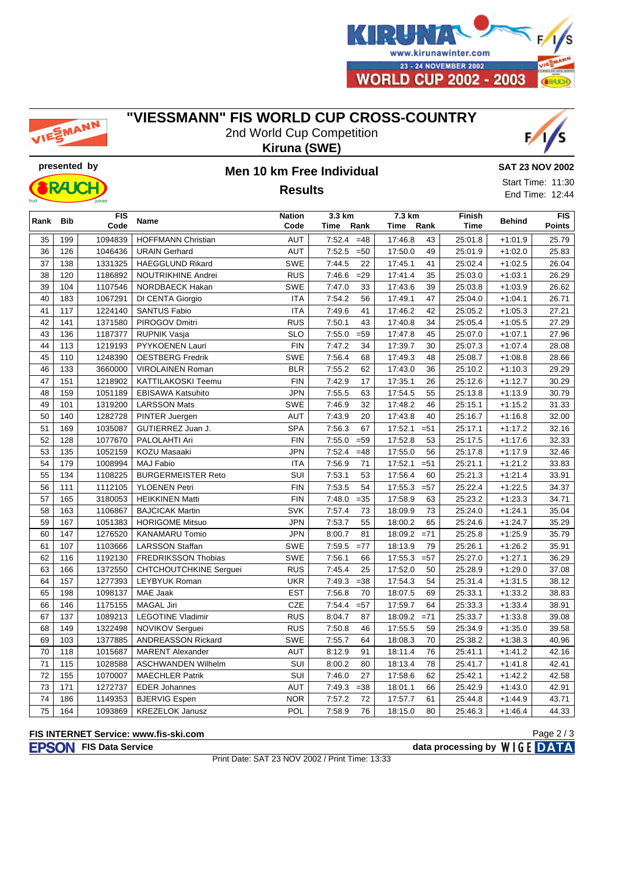

# EMANN

### **"VIESSMANN" FIS WORLD CUP CROSS-COUNTRY**

2nd World Cup Competition **Kiruna (SWE)**





## **presented by Men 10 km Free Individual Results**

**SAT 23 NOV 2002**

Start Time: 11:30 End Time: 12:44

| Rank | <b>Bib</b> | <b>FIS</b> | <b>Name</b>                   | <b>Nation</b> | 3.3 km           | 7.3 km            | <b>Finish</b> | <b>Behind</b> |        |
|------|------------|------------|-------------------------------|---------------|------------------|-------------------|---------------|---------------|--------|
|      |            | Code       |                               | Code          | Time<br>Rank     | Time<br>Rank      | <b>Time</b>   |               | Points |
| 35   | 199        | 1094839    | <b>HOFFMANN Christian</b>     | <b>AUT</b>    | 7:52.4<br>$=48$  | 17:46.8<br>43     | 25:01.8       | $+1:01.9$     | 25.79  |
| 36   | 126        | 1046436    | <b>URAIN Gerhard</b>          | <b>AUT</b>    | 7:52.5<br>$=50$  | 17:50.0<br>49     | 25:01.9       | $+1:02.0$     | 25.83  |
| 37   | 138        | 1331325    | <b>HAEGGLUND Rikard</b>       | <b>SWE</b>    | 7:44.5<br>22     | 17:45.1<br>41     | 25:02.4       | $+1:02.5$     | 26.04  |
| 38   | 120        | 1186892    | NOUTRIKHINE Andrei            | <b>RUS</b>    | 7:46.6<br>$=29$  | 17:41.4<br>35     | 25:03.0       | $+1:03.1$     | 26.29  |
| 39   | 104        | 1107546    | NORDBAECK Hakan               | <b>SWE</b>    | 7:47.0<br>33     | 17:43.6<br>39     | 25:03.8       | $+1:03.9$     | 26.62  |
| 40   | 183        | 1067291    | DI CENTA Giorgio              | <b>ITA</b>    | 7:54.2<br>56     | 47<br>17:49.1     | 25:04.0       | $+1:04.1$     | 26.71  |
| 41   | 117        | 1224140    | <b>SANTUS Fabio</b>           | <b>ITA</b>    | 7:49.6<br>41     | 17:46.2<br>42     | 25:05.2       | $+1:05.3$     | 27.21  |
| 42   | 141        | 1371580    | PIROGOV Dmitri                | RUS           | 7:50.1<br>43     | 34<br>17:40.8     | 25:05.4       | $+1:05.5$     | 27.29  |
| 43   | 136        | 1187377    | <b>RUPNIK Vasja</b>           | <b>SLO</b>    | 7:55.0<br>$= 59$ | 17:47.8<br>45     | 25:07.0       | $+1:07.1$     | 27.96  |
| 44   | 113        | 1219193    | PYYKOENEN Lauri               | <b>FIN</b>    | 7:47.2<br>34     | 17:39.7<br>30     | 25:07.3       | $+1:07.4$     | 28.08  |
| 45   | 110        | 1248390    | <b>OESTBERG Fredrik</b>       | SWE           | 7:56.4<br>68     | 17:49.3<br>48     | 25:08.7       | $+1:08.8$     | 28.66  |
| 46   | 133        | 3660000    | <b>VIROLAINEN Roman</b>       | <b>BLR</b>    | 7:55.2<br>62     | 17:43.0<br>36     | 25:10.2       | $+1:10.3$     | 29.29  |
| 47   | 151        | 1218902    | KATTILAKOSKI Teemu            | <b>FIN</b>    | 7:42.9<br>17     | 17:35.1<br>26     | 25:12.6       | $+1:12.7$     | 30.29  |
| 48   | 159        | 1051189    | <b>EBISAWA Katsuhito</b>      | <b>JPN</b>    | 7:55.5<br>63     | 17:54.5<br>55     | 25:13.8       | $+1:13.9$     | 30.79  |
| 49   | 101        | 1319200    | <b>LARSSON Mats</b>           | SWE           | 7:46.9<br>32     | 17:48.2<br>46     | 25:15.1       | $+1:15.2$     | 31.33  |
| 50   | 140        | 1282728    | PINTER Juergen                | <b>AUT</b>    | 7:43.9<br>20     | 17:43.8<br>40     | 25:16.7       | $+1:16.8$     | 32.00  |
| 51   | 169        | 1035087    | GUTIERREZ Juan J.             | <b>SPA</b>    | 7:56.3<br>67     | 17:52.1<br>$=51$  | 25:17.1       | $+1:17.2$     | 32.16  |
| 52   | 128        | 1077670    | PALOLAHTI Ari                 | <b>FIN</b>    | 7:55.0<br>$= 59$ | 53<br>17:52.8     | 25:17.5       | $+1:17.6$     | 32.33  |
| 53   | 135        | 1052159    | KOZU Masaaki                  | <b>JPN</b>    | 7:52.4<br>$=48$  | 17:55.0<br>56     | 25:17.8       | $+1:17.9$     | 32.46  |
| 54   | 179        | 1008994    | <b>MAJ Fabio</b>              | <b>ITA</b>    | 7:56.9<br>71     | 17:52.1<br>$= 51$ | 25:21.1       | $+1:21.2$     | 33.83  |
| 55   | 134        | 1108225    | <b>BURGERMEISTER Reto</b>     | SUI           | 7:53.1<br>53     | 17:56.4<br>60     | 25:21.3       | $+1:21.4$     | 33.91  |
| 56   | 111        | 1112105    | <b>YLOENEN Petri</b>          | <b>FIN</b>    | 7:53.5<br>54     | 17:55.3<br>$=57$  | 25:22.4       | $+1:22.5$     | 34.37  |
| 57   | 165        | 3180053    | <b>HEIKKINEN Matti</b>        | <b>FIN</b>    | 7:48.0<br>$=35$  | 17:58.9<br>63     | 25:23.2       | $+1:23.3$     | 34.71  |
| 58   | 163        | 1106867    | <b>BAJCICAK Martin</b>        | <b>SVK</b>    | 7:57.4<br>73     | 73<br>18:09.9     | 25:24.0       | $+1:24.1$     | 35.04  |
| 59   | 167        | 1051383    | <b>HORIGOME Mitsuo</b>        | <b>JPN</b>    | 7:53.7<br>55     | 18:00.2<br>65     | 25:24.6       | $+1:24.7$     | 35.29  |
| 60   | 147        | 1276520    | <b>KANAMARU Tomio</b>         | <b>JPN</b>    | 8:00.7<br>81     | $=71$<br>18:09.2  | 25:25.8       | $+1:25.9$     | 35.79  |
| 61   | 107        | 1103666    | <b>LARSSON Staffan</b>        | <b>SWE</b>    | 7:59.5<br>$=77$  | 18:13.9<br>79     | 25:26.1       | $+1:26.2$     | 35.91  |
| 62   | 116        | 1192130    | <b>FREDRIKSSON Thobias</b>    | <b>SWE</b>    | 7:56.1<br>66     | 17:55.3<br>$=57$  | 25:27.0       | $+1:27.1$     | 36.29  |
| 63   | 166        | 1372550    | <b>CHTCHOUTCHKINE Serguei</b> | <b>RUS</b>    | 7:45.4<br>25     | 17:52.0<br>50     | 25:28.9       | $+1:29.0$     | 37.08  |
| 64   | 157        | 1277393    | <b>LEYBYUK Roman</b>          | <b>UKR</b>    | 7:49.3<br>$=38$  | 17:54.3<br>54     | 25:31.4       | $+1:31.5$     | 38.12  |
| 65   | 198        | 1098137    | <b>MAE Jaak</b>               | <b>EST</b>    | 7:56.8<br>70     | 18:07.5<br>69     | 25:33.1       | $+1:33.2$     | 38.83  |
| 66   | 146        | 1175155    | <b>MAGAL Jiri</b>             | <b>CZE</b>    | 7:54.4<br>$=57$  | 17:59.7<br>64     | 25:33.3       | $+1:33.4$     | 38.91  |
| 67   | 137        | 1089213    | <b>LEGOTINE Vladimir</b>      | <b>RUS</b>    | 8:04.7<br>87     | 18:09.2<br>$=71$  | 25:33.7       | $+1:33.8$     | 39.08  |
| 68   | 149        | 1322498    | NOVIKOV Serguei               | <b>RUS</b>    | 7:50.8<br>46     | 17:55.5<br>59     | 25:34.9       | $+1:35.0$     | 39.58  |
| 69   | 103        | 1377885    | <b>ANDREASSON Rickard</b>     | <b>SWE</b>    | 7:55.7<br>64     | 18:08.3<br>70     | 25:38.2       | $+1:38.3$     | 40.96  |
| 70   | 118        | 1015687    | <b>MARENT Alexander</b>       | <b>AUT</b>    | 8:12.9<br>91     | 18:11.4<br>76     | 25:41.1       | $+1:41.2$     | 42.16  |
| 71   | 115        | 1028588    | <b>ASCHWANDEN Wilhelm</b>     | SUI           | 8:00.2<br>80     | 78<br>18:13.4     | 25:41.7       | $+1:41.8$     | 42.41  |
| 72   | 155        | 1070007    | <b>MAECHLER Patrik</b>        | SUI           | 7:46.0<br>27     | 17:58.6<br>62     | 25:42.1       | $+1:42.2$     | 42.58  |
| 73   | 171        | 1272737    | <b>EDER Johannes</b>          | <b>AUT</b>    | 7:49.3<br>$=38$  | 18:01.1<br>66     | 25:42.9       | $+1:43.0$     | 42.91  |
| 74   | 186        | 1149353    | <b>BJERVIG Espen</b>          | <b>NOR</b>    | 7:57.2<br>72     | 17:57.7<br>61     | 25:44.8       | $+1:44.9$     | 43.71  |
| 75   | 164        | 1093869    | <b>KREZELOK Janusz</b>        | POL           | 76<br>7:58.9     | 80<br>18:15.0     | 25:46.3       | $+1:46.4$     | 44.33  |

### **FIS INTERNET Service: www.fis-ski.com**

**FIS Data Service data processing by**  $W \mid G E$  **DATA** 

Print Date: SAT 23 NOV 2002 / Print Time: 13:33

Page 2 / 3